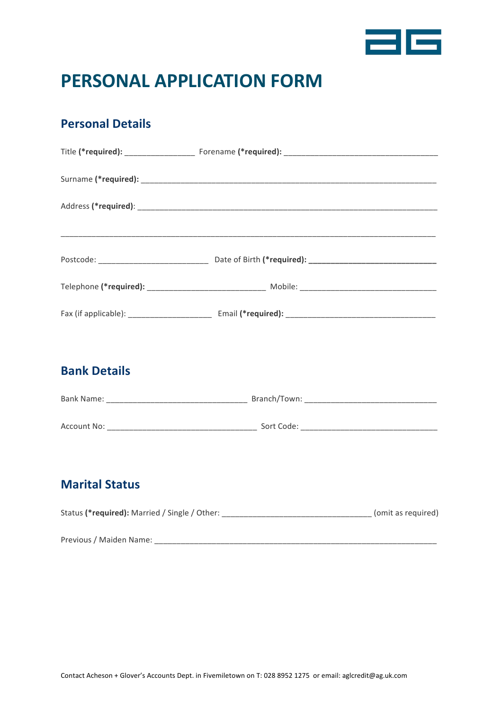

# **PERSONAL APPLICATION FORM**

### **Personal Details**

#### **Bank Details**

| <b>Bank Name:</b> | Branch/Town: |
|-------------------|--------------|
|                   |              |
| Account No:       | Sort Code:   |

#### **Marital Status**

| Status (*required): Married / Single / Other: | (omit as reguired) |
|-----------------------------------------------|--------------------|
|                                               |                    |
| Previous / Maiden Name:                       |                    |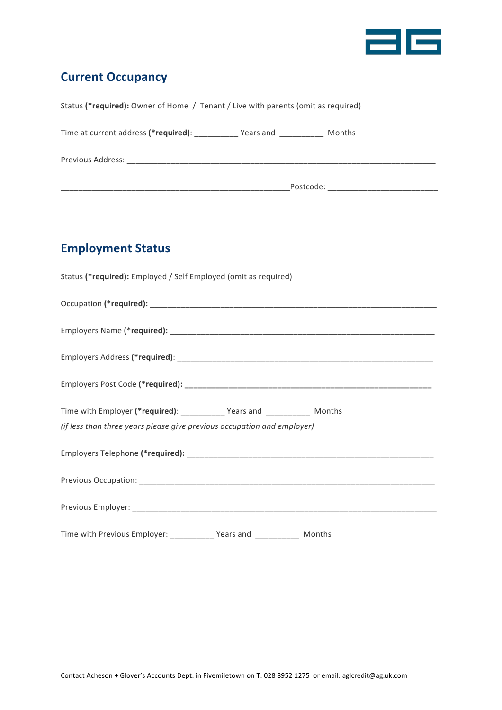

## **Current Occupancy**

| Status (*required): Owner of Home / Tenant / Live with parents (omit as required)                                                                                                                                              |           |  |
|--------------------------------------------------------------------------------------------------------------------------------------------------------------------------------------------------------------------------------|-----------|--|
| Time at current address (*required): Years and                                                                                                                                                                                 | Months    |  |
| Previous Address: The contract of the contract of the contract of the contract of the contract of the contract of the contract of the contract of the contract of the contract of the contract of the contract of the contract |           |  |
|                                                                                                                                                                                                                                | Postcode: |  |

## **Employment Status**

| Status (*required): Employed / Self Employed (omit as required)            |
|----------------------------------------------------------------------------|
|                                                                            |
|                                                                            |
|                                                                            |
|                                                                            |
| Time with Employer (*required): ____________ Years and ____________ Months |
| (if less than three years please give previous occupation and employer)    |
|                                                                            |
|                                                                            |
|                                                                            |
| Time with Previous Employer: _____________ Years and _____________ Months  |